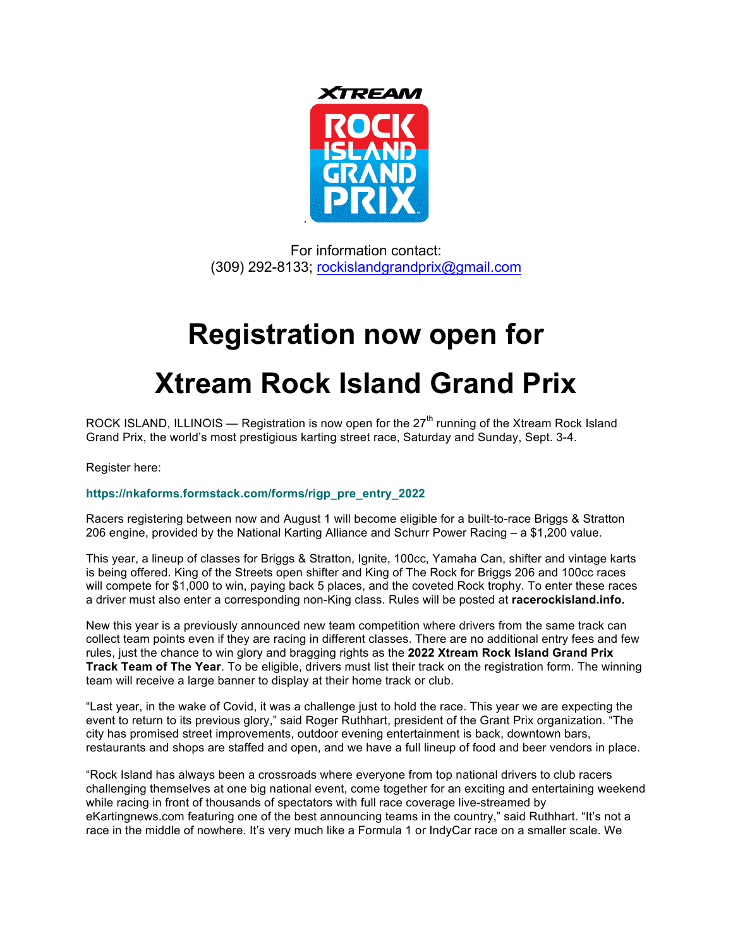

For information contact: (309) 292-8133; rockislandgrandprix@gmail.com

## **Registration now open for**

## **Xtream Rock Island Grand Prix**

ROCK ISLAND, ILLINOIS — Registration is now open for the  $27<sup>th</sup>$  running of the Xtream Rock Island Grand Prix, the world's most prestigious karting street race, Saturday and Sunday, Sept. 3-4.

Register here:

## **https://nkaforms.formstack.com/forms/rigp\_pre\_entry\_2022**

Racers registering between now and August 1 will become eligible for a built-to-race Briggs & Stratton 206 engine, provided by the National Karting Alliance and Schurr Power Racing – a \$1,200 value.

This year, a lineup of classes for Briggs & Stratton, Ignite, 100cc, Yamaha Can, shifter and vintage karts is being offered. King of the Streets open shifter and King of The Rock for Briggs 206 and 100cc races will compete for \$1,000 to win, paying back 5 places, and the coveted Rock trophy. To enter these races a driver must also enter a corresponding non-King class. Rules will be posted at **racerockisland.info.**

New this year is a previously announced new team competition where drivers from the same track can collect team points even if they are racing in different classes. There are no additional entry fees and few rules, just the chance to win glory and bragging rights as the **2022 Xtream Rock Island Grand Prix Track Team of The Year**. To be eligible, drivers must list their track on the registration form. The winning team will receive a large banner to display at their home track or club.

"Last year, in the wake of Covid, it was a challenge just to hold the race. This year we are expecting the event to return to its previous glory," said Roger Ruthhart, president of the Grant Prix organization. "The city has promised street improvements, outdoor evening entertainment is back, downtown bars, restaurants and shops are staffed and open, and we have a full lineup of food and beer vendors in place.

"Rock Island has always been a crossroads where everyone from top national drivers to club racers challenging themselves at one big national event, come together for an exciting and entertaining weekend while racing in front of thousands of spectators with full race coverage live-streamed by eKartingnews.com featuring one of the best announcing teams in the country," said Ruthhart. "It's not a race in the middle of nowhere. It's very much like a Formula 1 or IndyCar race on a smaller scale. We